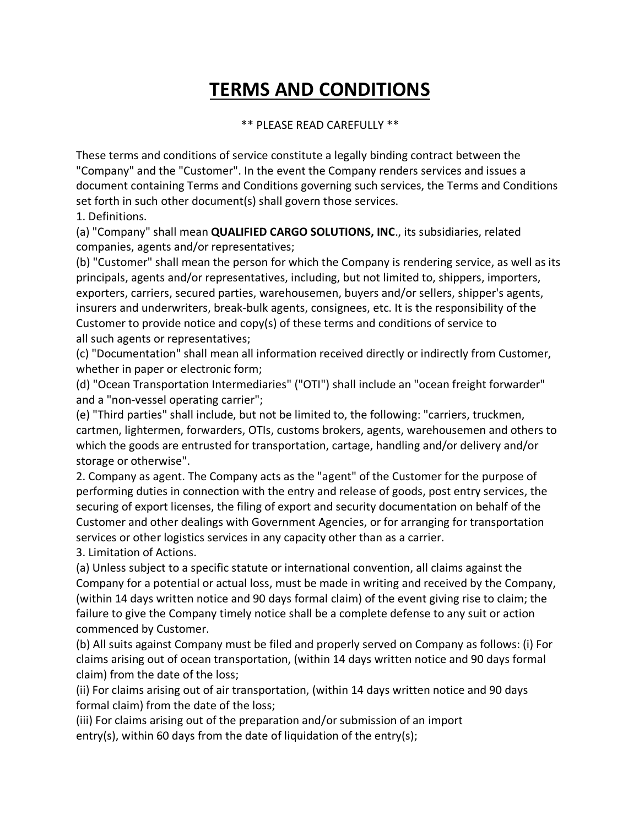## **TERMS AND CONDITIONS**

\*\* PLEASE READ CAREFULLY \*\*

These terms and conditions of service constitute a legally binding contract between the "Company" and the "Customer". In the event the Company renders services and issues a document containing Terms and Conditions governing such services, the Terms and Conditions set forth in such other document(s) shall govern those services.

1. Definitions.

(a) "Company" shall mean **QUALIFIED CARGO SOLUTIONS, INC**., its subsidiaries, related companies, agents and/or representatives;

(b) "Customer" shall mean the person for which the Company is rendering service, as well as its principals, agents and/or representatives, including, but not limited to, shippers, importers, exporters, carriers, secured parties, warehousemen, buyers and/or sellers, shipper's agents, insurers and underwriters, break-bulk agents, consignees, etc. It is the responsibility of the Customer to provide notice and copy(s) of these terms and conditions of service to all such agents or representatives;

(c) "Documentation" shall mean all information received directly or indirectly from Customer, whether in paper or electronic form;

(d) "Ocean Transportation Intermediaries" ("OTI") shall include an "ocean freight forwarder" and a "non-vessel operating carrier";

(e) "Third parties" shall include, but not be limited to, the following: "carriers, truckmen, cartmen, lightermen, forwarders, OTIs, customs brokers, agents, warehousemen and others to which the goods are entrusted for transportation, cartage, handling and/or delivery and/or storage or otherwise".

2. Company as agent. The Company acts as the "agent" of the Customer for the purpose of performing duties in connection with the entry and release of goods, post entry services, the securing of export licenses, the filing of export and security documentation on behalf of the Customer and other dealings with Government Agencies, or for arranging for transportation services or other logistics services in any capacity other than as a carrier.

3. Limitation of Actions.

(a) Unless subject to a specific statute or international convention, all claims against the Company for a potential or actual loss, must be made in writing and received by the Company, (within 14 days written notice and 90 days formal claim) of the event giving rise to claim; the failure to give the Company timely notice shall be a complete defense to any suit or action commenced by Customer.

(b) All suits against Company must be filed and properly served on Company as follows: (i) For claims arising out of ocean transportation, (within 14 days written notice and 90 days formal claim) from the date of the loss;

(ii) For claims arising out of air transportation, (within 14 days written notice and 90 days formal claim) from the date of the loss;

(iii) For claims arising out of the preparation and/or submission of an import entry(s), within 60 days from the date of liquidation of the entry(s);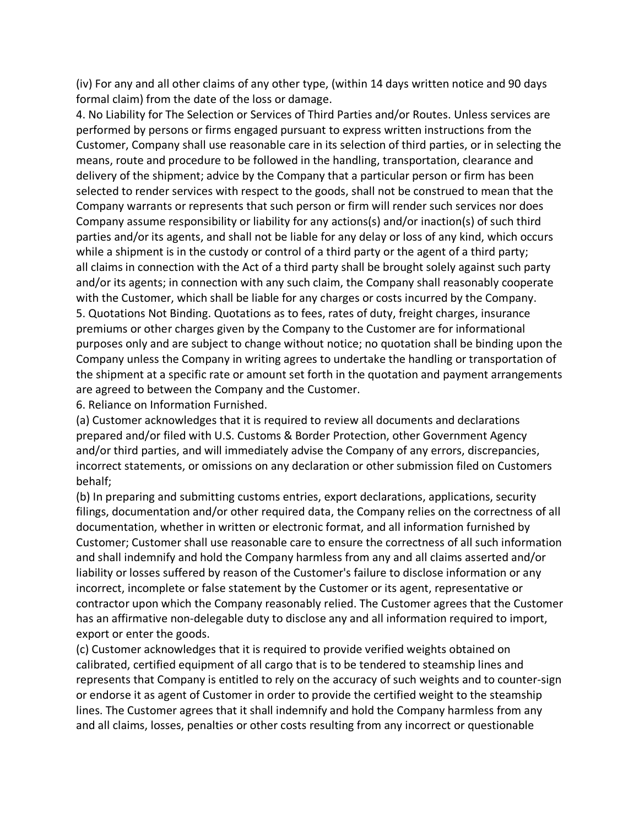(iv) For any and all other claims of any other type, (within 14 days written notice and 90 days formal claim) from the date of the loss or damage.

4. No Liability for The Selection or Services of Third Parties and/or Routes. Unless services are performed by persons or firms engaged pursuant to express written instructions from the Customer, Company shall use reasonable care in its selection of third parties, or in selecting the means, route and procedure to be followed in the handling, transportation, clearance and delivery of the shipment; advice by the Company that a particular person or firm has been selected to render services with respect to the goods, shall not be construed to mean that the Company warrants or represents that such person or firm will render such services nor does Company assume responsibility or liability for any actions(s) and/or inaction(s) of such third parties and/or its agents, and shall not be liable for any delay or loss of any kind, which occurs while a shipment is in the custody or control of a third party or the agent of a third party; all claims in connection with the Act of a third party shall be brought solely against such party and/or its agents; in connection with any such claim, the Company shall reasonably cooperate with the Customer, which shall be liable for any charges or costs incurred by the Company. 5. Quotations Not Binding. Quotations as to fees, rates of duty, freight charges, insurance premiums or other charges given by the Company to the Customer are for informational purposes only and are subject to change without notice; no quotation shall be binding upon the Company unless the Company in writing agrees to undertake the handling or transportation of the shipment at a specific rate or amount set forth in the quotation and payment arrangements are agreed to between the Company and the Customer.

6. Reliance on Information Furnished.

(a) Customer acknowledges that it is required to review all documents and declarations prepared and/or filed with U.S. Customs & Border Protection, other Government Agency and/or third parties, and will immediately advise the Company of any errors, discrepancies, incorrect statements, or omissions on any declaration or other submission filed on Customers behalf;

(b) In preparing and submitting customs entries, export declarations, applications, security filings, documentation and/or other required data, the Company relies on the correctness of all documentation, whether in written or electronic format, and all information furnished by Customer; Customer shall use reasonable care to ensure the correctness of all such information and shall indemnify and hold the Company harmless from any and all claims asserted and/or liability or losses suffered by reason of the Customer's failure to disclose information or any incorrect, incomplete or false statement by the Customer or its agent, representative or contractor upon which the Company reasonably relied. The Customer agrees that the Customer has an affirmative non-delegable duty to disclose any and all information required to import, export or enter the goods.

(c) Customer acknowledges that it is required to provide verified weights obtained on calibrated, certified equipment of all cargo that is to be tendered to steamship lines and represents that Company is entitled to rely on the accuracy of such weights and to counter-sign or endorse it as agent of Customer in order to provide the certified weight to the steamship lines. The Customer agrees that it shall indemnify and hold the Company harmless from any and all claims, losses, penalties or other costs resulting from any incorrect or questionable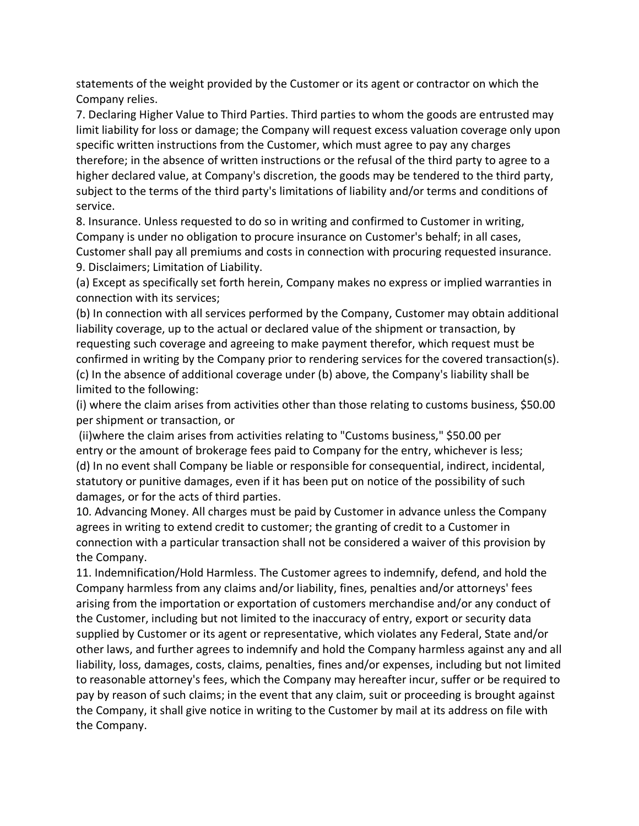statements of the weight provided by the Customer or its agent or contractor on which the Company relies.

7. Declaring Higher Value to Third Parties. Third parties to whom the goods are entrusted may limit liability for loss or damage; the Company will request excess valuation coverage only upon specific written instructions from the Customer, which must agree to pay any charges therefore; in the absence of written instructions or the refusal of the third party to agree to a higher declared value, at Company's discretion, the goods may be tendered to the third party, subject to the terms of the third party's limitations of liability and/or terms and conditions of service.

8. Insurance. Unless requested to do so in writing and confirmed to Customer in writing, Company is under no obligation to procure insurance on Customer's behalf; in all cases, Customer shall pay all premiums and costs in connection with procuring requested insurance. 9. Disclaimers; Limitation of Liability.

(a) Except as specifically set forth herein, Company makes no express or implied warranties in connection with its services;

(b) In connection with all services performed by the Company, Customer may obtain additional liability coverage, up to the actual or declared value of the shipment or transaction, by requesting such coverage and agreeing to make payment therefor, which request must be confirmed in writing by the Company prior to rendering services for the covered transaction(s). (c) In the absence of additional coverage under (b) above, the Company's liability shall be limited to the following:

(i) where the claim arises from activities other than those relating to customs business, \$50.00 per shipment or transaction, or

(ii)where the claim arises from activities relating to "Customs business," \$50.00 per entry or the amount of brokerage fees paid to Company for the entry, whichever is less; (d) In no event shall Company be liable or responsible for consequential, indirect, incidental, statutory or punitive damages, even if it has been put on notice of the possibility of such damages, or for the acts of third parties.

10. Advancing Money. All charges must be paid by Customer in advance unless the Company agrees in writing to extend credit to customer; the granting of credit to a Customer in connection with a particular transaction shall not be considered a waiver of this provision by the Company.

11. Indemnification/Hold Harmless. The Customer agrees to indemnify, defend, and hold the Company harmless from any claims and/or liability, fines, penalties and/or attorneys' fees arising from the importation or exportation of customers merchandise and/or any conduct of the Customer, including but not limited to the inaccuracy of entry, export or security data supplied by Customer or its agent or representative, which violates any Federal, State and/or other laws, and further agrees to indemnify and hold the Company harmless against any and all liability, loss, damages, costs, claims, penalties, fines and/or expenses, including but not limited to reasonable attorney's fees, which the Company may hereafter incur, suffer or be required to pay by reason of such claims; in the event that any claim, suit or proceeding is brought against the Company, it shall give notice in writing to the Customer by mail at its address on file with the Company.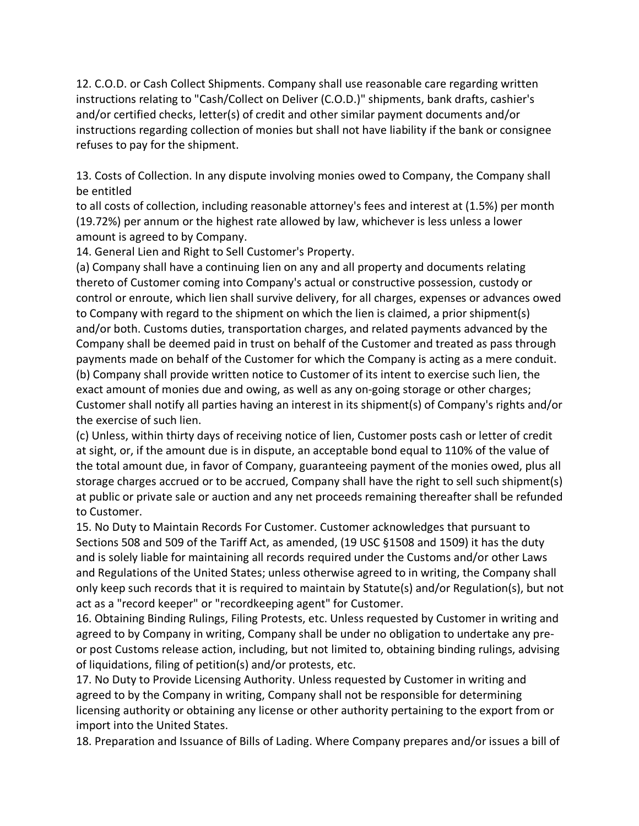12. C.O.D. or Cash Collect Shipments. Company shall use reasonable care regarding written instructions relating to "Cash/Collect on Deliver (C.O.D.)" shipments, bank drafts, cashier's and/or certified checks, letter(s) of credit and other similar payment documents and/or instructions regarding collection of monies but shall not have liability if the bank or consignee refuses to pay for the shipment.

13. Costs of Collection. In any dispute involving monies owed to Company, the Company shall be entitled

to all costs of collection, including reasonable attorney's fees and interest at (1.5%) per month (19.72%) per annum or the highest rate allowed by law, whichever is less unless a lower amount is agreed to by Company.

14. General Lien and Right to Sell Customer's Property.

(a) Company shall have a continuing lien on any and all property and documents relating thereto of Customer coming into Company's actual or constructive possession, custody or control or enroute, which lien shall survive delivery, for all charges, expenses or advances owed to Company with regard to the shipment on which the lien is claimed, a prior shipment(s) and/or both. Customs duties, transportation charges, and related payments advanced by the Company shall be deemed paid in trust on behalf of the Customer and treated as pass through payments made on behalf of the Customer for which the Company is acting as a mere conduit. (b) Company shall provide written notice to Customer of its intent to exercise such lien, the exact amount of monies due and owing, as well as any on-going storage or other charges; Customer shall notify all parties having an interest in its shipment(s) of Company's rights and/or the exercise of such lien.

(c) Unless, within thirty days of receiving notice of lien, Customer posts cash or letter of credit at sight, or, if the amount due is in dispute, an acceptable bond equal to 110% of the value of the total amount due, in favor of Company, guaranteeing payment of the monies owed, plus all storage charges accrued or to be accrued, Company shall have the right to sell such shipment(s) at public or private sale or auction and any net proceeds remaining thereafter shall be refunded to Customer.

15. No Duty to Maintain Records For Customer. Customer acknowledges that pursuant to Sections 508 and 509 of the Tariff Act, as amended, (19 USC §1508 and 1509) it has the duty and is solely liable for maintaining all records required under the Customs and/or other Laws and Regulations of the United States; unless otherwise agreed to in writing, the Company shall only keep such records that it is required to maintain by Statute(s) and/or Regulation(s), but not act as a "record keeper" or "recordkeeping agent" for Customer.

16. Obtaining Binding Rulings, Filing Protests, etc. Unless requested by Customer in writing and agreed to by Company in writing, Company shall be under no obligation to undertake any preor post Customs release action, including, but not limited to, obtaining binding rulings, advising of liquidations, filing of petition(s) and/or protests, etc.

17. No Duty to Provide Licensing Authority. Unless requested by Customer in writing and agreed to by the Company in writing, Company shall not be responsible for determining licensing authority or obtaining any license or other authority pertaining to the export from or import into the United States.

18. Preparation and Issuance of Bills of Lading. Where Company prepares and/or issues a bill of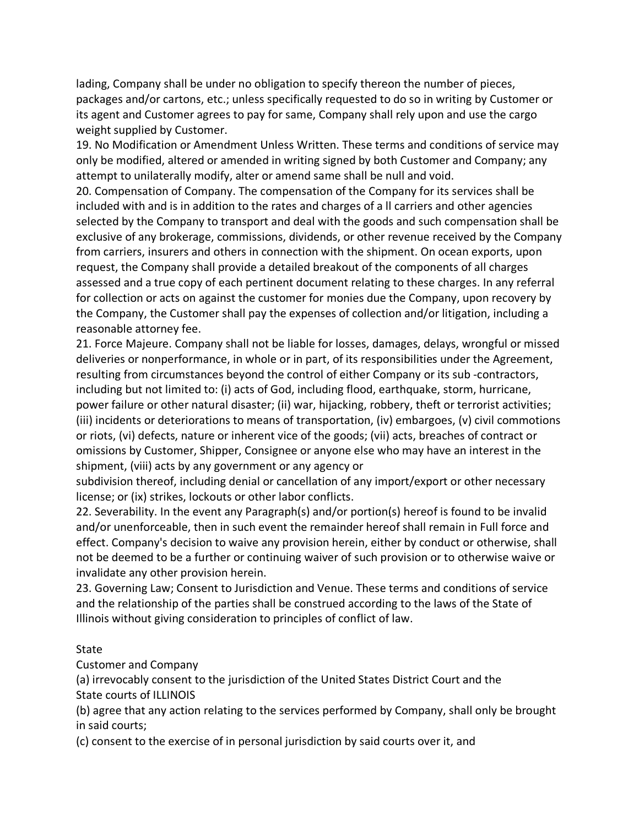lading, Company shall be under no obligation to specify thereon the number of pieces, packages and/or cartons, etc.; unless specifically requested to do so in writing by Customer or its agent and Customer agrees to pay for same, Company shall rely upon and use the cargo weight supplied by Customer.

19. No Modification or Amendment Unless Written. These terms and conditions of service may only be modified, altered or amended in writing signed by both Customer and Company; any attempt to unilaterally modify, alter or amend same shall be null and void.

20. Compensation of Company. The compensation of the Company for its services shall be included with and is in addition to the rates and charges of a ll carriers and other agencies selected by the Company to transport and deal with the goods and such compensation shall be exclusive of any brokerage, commissions, dividends, or other revenue received by the Company from carriers, insurers and others in connection with the shipment. On ocean exports, upon request, the Company shall provide a detailed breakout of the components of all charges assessed and a true copy of each pertinent document relating to these charges. In any referral for collection or acts on against the customer for monies due the Company, upon recovery by the Company, the Customer shall pay the expenses of collection and/or litigation, including a reasonable attorney fee.

21. Force Majeure. Company shall not be liable for losses, damages, delays, wrongful or missed deliveries or nonperformance, in whole or in part, of its responsibilities under the Agreement, resulting from circumstances beyond the control of either Company or its sub -contractors, including but not limited to: (i) acts of God, including flood, earthquake, storm, hurricane, power failure or other natural disaster; (ii) war, hijacking, robbery, theft or terrorist activities; (iii) incidents or deteriorations to means of transportation, (iv) embargoes, (v) civil commotions or riots, (vi) defects, nature or inherent vice of the goods; (vii) acts, breaches of contract or omissions by Customer, Shipper, Consignee or anyone else who may have an interest in the shipment, (viii) acts by any government or any agency or

subdivision thereof, including denial or cancellation of any import/export or other necessary license; or (ix) strikes, lockouts or other labor conflicts.

22. Severability. In the event any Paragraph(s) and/or portion(s) hereof is found to be invalid and/or unenforceable, then in such event the remainder hereof shall remain in Full force and effect. Company's decision to waive any provision herein, either by conduct or otherwise, shall not be deemed to be a further or continuing waiver of such provision or to otherwise waive or invalidate any other provision herein.

23. Governing Law; Consent to Jurisdiction and Venue. These terms and conditions of service and the relationship of the parties shall be construed according to the laws of the State of Illinois without giving consideration to principles of conflict of law.

## State

Customer and Company

(a) irrevocably consent to the jurisdiction of the United States District Court and the State courts of ILLINOIS

(b) agree that any action relating to the services performed by Company, shall only be brought in said courts;

(c) consent to the exercise of in personal jurisdiction by said courts over it, and